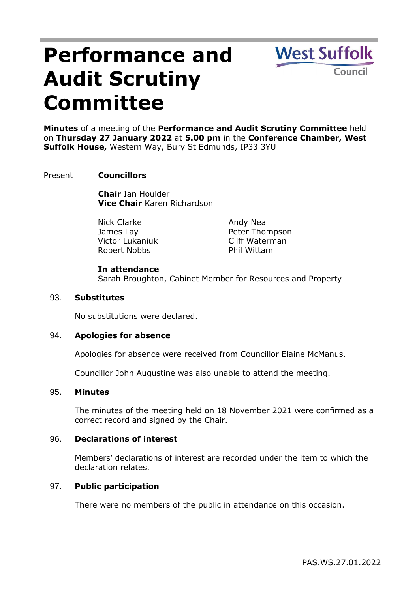# **Performance and Audit Scrutiny Committee**

**West Suffolk** Council

**Minutes** of a meeting of the **Performance and Audit Scrutiny Committee** held on **Thursday 27 January 2022** at **5.00 pm** in the **Conference Chamber, West Suffolk House,** Western Way, Bury St Edmunds, IP33 3YU

## Present **Councillors**

**Chair** Ian Houlder **Vice Chair** Karen Richardson

Nick Clarke James Lay Victor Lukaniuk Robert Nobbs

Andy Neal Peter Thompson Cliff Waterman Phil Wittam

## **In attendance**

Sarah Broughton, Cabinet Member for Resources and Property

## 93. **Substitutes**

No substitutions were declared.

### 94. **Apologies for absence**

Apologies for absence were received from Councillor Elaine McManus.

Councillor John Augustine was also unable to attend the meeting.

#### 95. **Minutes**

The minutes of the meeting held on 18 November 2021 were confirmed as a correct record and signed by the Chair.

#### 96. **Declarations of interest**

Members' declarations of interest are recorded under the item to which the declaration relates.

### 97. **Public participation**

There were no members of the public in attendance on this occasion.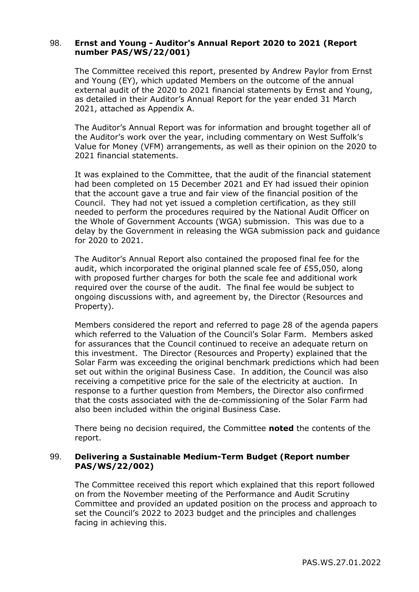## 98. **Ernst and Young - Auditor's Annual Report 2020 to 2021 (Report number PAS/WS/22/001)**

The Committee received this report, presented by Andrew Paylor from Ernst and Young (EY), which updated Members on the outcome of the annual external audit of the 2020 to 2021 financial statements by Ernst and Young, as detailed in their Auditor's Annual Report for the year ended 31 March 2021, attached as Appendix A.

The Auditor's Annual Report was for information and brought together all of the Auditor's work over the year, including commentary on West Suffolk's Value for Money (VFM) arrangements, as well as their opinion on the 2020 to 2021 financial statements.

It was explained to the Committee, that the audit of the financial statement had been completed on 15 December 2021 and EY had issued their opinion that the account gave a true and fair view of the financial position of the Council. They had not yet issued a completion certification, as they still needed to perform the procedures required by the National Audit Officer on the Whole of Government Accounts (WGA) submission. This was due to a delay by the Government in releasing the WGA submission pack and guidance for 2020 to 2021.

The Auditor's Annual Report also contained the proposed final fee for the audit, which incorporated the original planned scale fee of £55,050, along with proposed further charges for both the scale fee and additional work required over the course of the audit. The final fee would be subject to ongoing discussions with, and agreement by, the Director (Resources and Property).

Members considered the report and referred to page 28 of the agenda papers which referred to the Valuation of the Council's Solar Farm. Members asked for assurances that the Council continued to receive an adequate return on this investment. The Director (Resources and Property) explained that the Solar Farm was exceeding the original benchmark predictions which had been set out within the original Business Case. In addition, the Council was also receiving a competitive price for the sale of the electricity at auction. In response to a further question from Members, the Director also confirmed that the costs associated with the de-commissioning of the Solar Farm had also been included within the original Business Case.

There being no decision required, the Committee **noted** the contents of the report.

## 99. **Delivering a Sustainable Medium-Term Budget (Report number PAS/WS/22/002)**

The Committee received this report which explained that this report followed on from the November meeting of the Performance and Audit Scrutiny Committee and provided an updated position on the process and approach to set the Council's 2022 to 2023 budget and the principles and challenges facing in achieving this.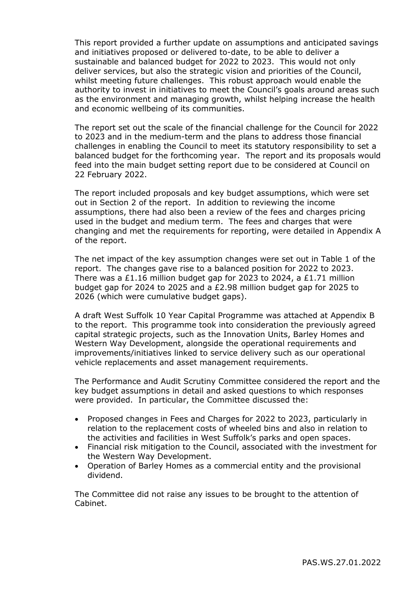This report provided a further update on assumptions and anticipated savings and initiatives proposed or delivered to-date, to be able to deliver a sustainable and balanced budget for 2022 to 2023. This would not only deliver services, but also the strategic vision and priorities of the Council, whilst meeting future challenges. This robust approach would enable the authority to invest in initiatives to meet the Council's goals around areas such as the environment and managing growth, whilst helping increase the health and economic wellbeing of its communities.

The report set out the scale of the financial challenge for the Council for 2022 to 2023 and in the medium-term and the plans to address those financial challenges in enabling the Council to meet its statutory responsibility to set a balanced budget for the forthcoming year. The report and its proposals would feed into the main budget setting report due to be considered at Council on 22 February 2022.

The report included proposals and key budget assumptions, which were set out in Section 2 of the report. In addition to reviewing the income assumptions, there had also been a review of the fees and charges pricing used in the budget and medium term. The fees and charges that were changing and met the requirements for reporting, were detailed in Appendix A of the report.

The net impact of the key assumption changes were set out in Table 1 of the report. The changes gave rise to a balanced position for 2022 to 2023. There was a £1.16 million budget gap for 2023 to 2024, a £1.71 million budget gap for 2024 to 2025 and a £2.98 million budget gap for 2025 to 2026 (which were cumulative budget gaps).

A draft West Suffolk 10 Year Capital Programme was attached at Appendix B to the report. This programme took into consideration the previously agreed capital strategic projects, such as the Innovation Units, Barley Homes and Western Way Development, alongside the operational requirements and improvements/initiatives linked to service delivery such as our operational vehicle replacements and asset management requirements.

The Performance and Audit Scrutiny Committee considered the report and the key budget assumptions in detail and asked questions to which responses were provided. In particular, the Committee discussed the:

- Proposed changes in Fees and Charges for 2022 to 2023, particularly in relation to the replacement costs of wheeled bins and also in relation to the activities and facilities in West Suffolk's parks and open spaces.
- Financial risk mitigation to the Council, associated with the investment for the Western Way Development.
- Operation of Barley Homes as a commercial entity and the provisional dividend.

The Committee did not raise any issues to be brought to the attention of Cabinet.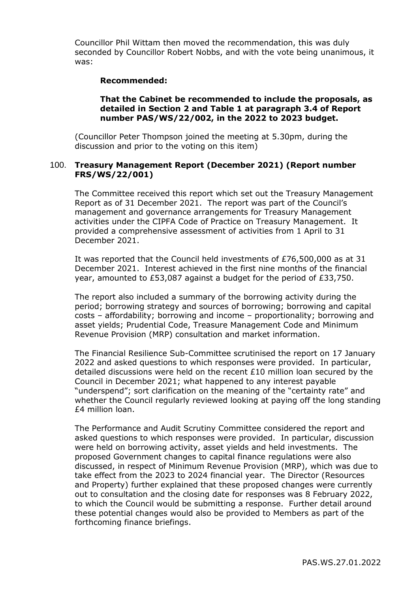Councillor Phil Wittam then moved the recommendation, this was duly seconded by Councillor Robert Nobbs, and with the vote being unanimous, it was:

### **Recommended:**

### **That the Cabinet be recommended to include the proposals, as detailed in Section 2 and Table 1 at paragraph 3.4 of Report number PAS/WS/22/002, in the 2022 to 2023 budget.**

(Councillor Peter Thompson joined the meeting at 5.30pm, during the discussion and prior to the voting on this item)

### 100. **Treasury Management Report (December 2021) (Report number FRS/WS/22/001)**

The Committee received this report which set out the Treasury Management Report as of 31 December 2021. The report was part of the Council's management and governance arrangements for Treasury Management activities under the CIPFA Code of Practice on Treasury Management. It provided a comprehensive assessment of activities from 1 April to 31 December 2021.

It was reported that the Council held investments of £76,500,000 as at 31 December 2021. Interest achieved in the first nine months of the financial year, amounted to £53,087 against a budget for the period of £33,750.

The report also included a summary of the borrowing activity during the period; borrowing strategy and sources of borrowing; borrowing and capital costs – affordability; borrowing and income – proportionality; borrowing and asset yields; Prudential Code, Treasure Management Code and Minimum Revenue Provision (MRP) consultation and market information.

The Financial Resilience Sub-Committee scrutinised the report on 17 January 2022 and asked questions to which responses were provided. In particular, detailed discussions were held on the recent £10 million loan secured by the Council in December 2021; what happened to any interest payable "underspend"; sort clarification on the meaning of the "certainty rate" and whether the Council regularly reviewed looking at paying off the long standing £4 million loan.

The Performance and Audit Scrutiny Committee considered the report and asked questions to which responses were provided. In particular, discussion were held on borrowing activity, asset yields and held investments. The proposed Government changes to capital finance regulations were also discussed, in respect of Minimum Revenue Provision (MRP), which was due to take effect from the 2023 to 2024 financial year. The Director (Resources and Property) further explained that these proposed changes were currently out to consultation and the closing date for responses was 8 February 2022, to which the Council would be submitting a response. Further detail around these potential changes would also be provided to Members as part of the forthcoming finance briefings.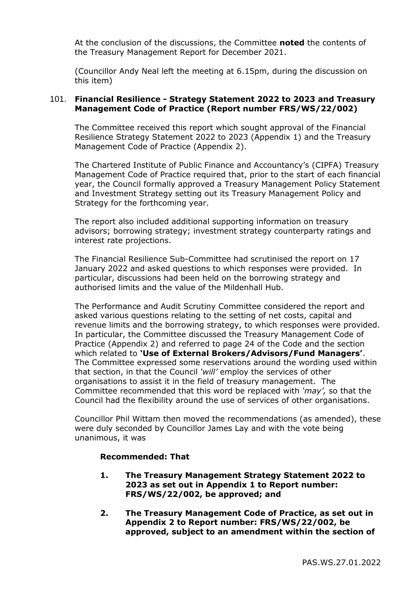At the conclusion of the discussions, the Committee **noted** the contents of the Treasury Management Report for December 2021.

(Councillor Andy Neal left the meeting at 6.15pm, during the discussion on this item)

## 101. **Financial Resilience - Strategy Statement 2022 to 2023 and Treasury Management Code of Practice (Report number FRS/WS/22/002)**

The Committee received this report which sought approval of the Financial Resilience Strategy Statement 2022 to 2023 (Appendix 1) and the Treasury Management Code of Practice (Appendix 2).

The Chartered Institute of Public Finance and Accountancy's (CIPFA) Treasury Management Code of Practice required that, prior to the start of each financial year, the Council formally approved a Treasury Management Policy Statement and Investment Strategy setting out its Treasury Management Policy and Strategy for the forthcoming year.

The report also included additional supporting information on treasury advisors; borrowing strategy; investment strategy counterparty ratings and interest rate projections.

The Financial Resilience Sub-Committee had scrutinised the report on 17 January 2022 and asked questions to which responses were provided. In particular, discussions had been held on the borrowing strategy and authorised limits and the value of the Mildenhall Hub.

The Performance and Audit Scrutiny Committee considered the report and asked various questions relating to the setting of net costs, capital and revenue limits and the borrowing strategy, to which responses were provided. In particular, the Committee discussed the Treasury Management Code of Practice (Appendix 2) and referred to page 24 of the Code and the section which related to **'Use of External Brokers/Advisors/Fund Managers'**. The Committee expressed some reservations around the wording used within that section, in that the Council *'will'* employ the services of other organisations to assist it in the field of treasury management. The Committee recommended that this word be replaced with *'may',* so that the Council had the flexibility around the use of services of other organisations.

Councillor Phil Wittam then moved the recommendations (as amended), these were duly seconded by Councillor James Lay and with the vote being unanimous, it was

### **Recommended: That**

- **1. The Treasury Management Strategy Statement 2022 to 2023 as set out in Appendix 1 to Report number: FRS/WS/22/002, be approved; and**
- **2. The Treasury Management Code of Practice, as set out in Appendix 2 to Report number: FRS/WS/22/002, be approved, subject to an amendment within the section of**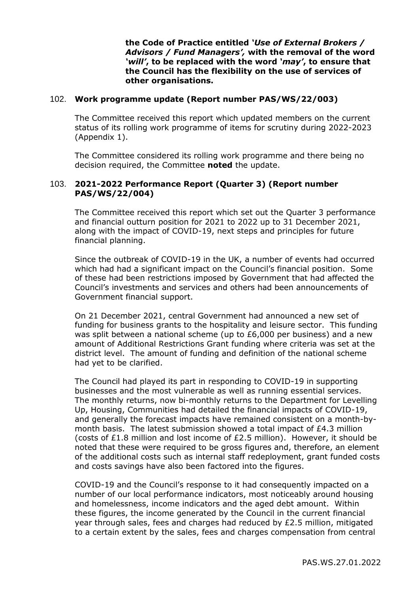**the Code of Practice entitled** *'Use of External Brokers / Advisors / Fund Managers',* **with the removal of the word**  *'will'***, to be replaced with the word** *'may'***, to ensure that the Council has the flexibility on the use of services of other organisations.** 

#### 102. **Work programme update (Report number PAS/WS/22/003)**

The Committee received this report which updated members on the current status of its rolling work programme of items for scrutiny during 2022-2023 (Appendix 1).

The Committee considered its rolling work programme and there being no decision required, the Committee **noted** the update.

## 103. **2021-2022 Performance Report (Quarter 3) (Report number PAS/WS/22/004)**

The Committee received this report which set out the Quarter 3 performance and financial outturn position for 2021 to 2022 up to 31 December 2021, along with the impact of COVID-19, next steps and principles for future financial planning.

Since the outbreak of COVID-19 in the UK, a number of events had occurred which had had a significant impact on the Council's financial position. Some of these had been restrictions imposed by Government that had affected the Council's investments and services and others had been announcements of Government financial support.

On 21 December 2021, central Government had announced a new set of funding for business grants to the hospitality and leisure sector. This funding was split between a national scheme (up to £6,000 per business) and a new amount of Additional Restrictions Grant funding where criteria was set at the district level. The amount of funding and definition of the national scheme had yet to be clarified.

The Council had played its part in responding to COVID-19 in supporting businesses and the most vulnerable as well as running essential services. The monthly returns, now bi-monthly returns to the Department for Levelling Up, Housing, Communities had detailed the financial impacts of COVID-19, and generally the forecast impacts have remained consistent on a month-bymonth basis. The latest submission showed a total impact of £4.3 million (costs of £1.8 million and lost income of £2.5 million). However, it should be noted that these were required to be gross figures and, therefore, an element of the additional costs such as internal staff redeployment, grant funded costs and costs savings have also been factored into the figures.

COVID-19 and the Council's response to it had consequently impacted on a number of our local performance indicators, most noticeably around housing and homelessness, income indicators and the aged debt amount. Within these figures, the income generated by the Council in the current financial year through sales, fees and charges had reduced by £2.5 million, mitigated to a certain extent by the sales, fees and charges compensation from central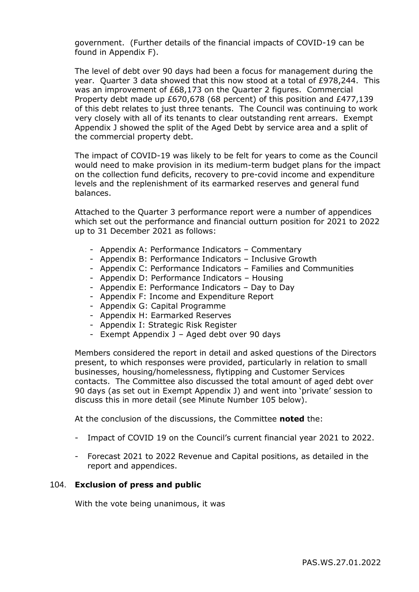government. (Further details of the financial impacts of COVID-19 can be found in Appendix F).

The level of debt over 90 days had been a focus for management during the year. Quarter 3 data showed that this now stood at a total of £978,244. This was an improvement of £68,173 on the Quarter 2 figures. Commercial Property debt made up £670,678 (68 percent) of this position and £477,139 of this debt relates to just three tenants. The Council was continuing to work very closely with all of its tenants to clear outstanding rent arrears. Exempt Appendix J showed the split of the Aged Debt by service area and a split of the commercial property debt.

The impact of COVID-19 was likely to be felt for years to come as the Council would need to make provision in its medium-term budget plans for the impact on the collection fund deficits, recovery to pre-covid income and expenditure levels and the replenishment of its earmarked reserves and general fund balances.

Attached to the Quarter 3 performance report were a number of appendices which set out the performance and financial outturn position for 2021 to 2022 up to 31 December 2021 as follows:

- Appendix A: Performance Indicators Commentary
- Appendix B: Performance Indicators Inclusive Growth
- Appendix C: Performance Indicators Families and Communities
- Appendix D: Performance Indicators Housing
- Appendix E: Performance Indicators Day to Day
- Appendix F: Income and Expenditure Report
- Appendix G: Capital Programme
- Appendix H: Earmarked Reserves
- Appendix I: Strategic Risk Register
- Exempt Appendix J Aged debt over 90 days

Members considered the report in detail and asked questions of the Directors present, to which responses were provided, particularly in relation to small businesses, housing/homelessness, flytipping and Customer Services contacts. The Committee also discussed the total amount of aged debt over 90 days (as set out in Exempt Appendix J) and went into 'private' session to discuss this in more detail (see Minute Number 105 below).

At the conclusion of the discussions, the Committee **noted** the:

- Impact of COVID 19 on the Council's current financial year 2021 to 2022.
- Forecast 2021 to 2022 Revenue and Capital positions, as detailed in the report and appendices.

#### 104. **Exclusion of press and public**

With the vote being unanimous, it was